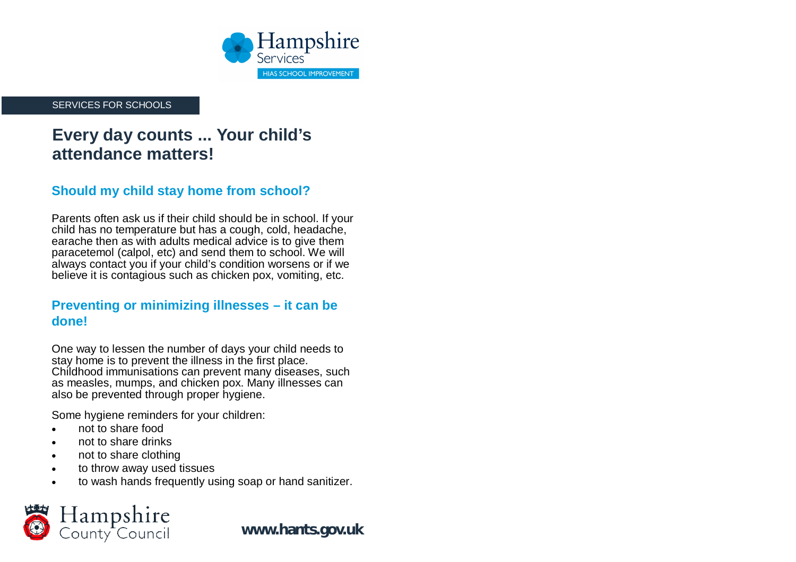

SERVICES FOR SCHOOLS

# **Every day counts ... Your child's attendance matters!**

### **Should my child stay home from school?**

Parents often ask us if their child should be in school. If your child has no temperature but has a cough, cold, headache, earache then as with adults medical advice is to give them paracetemol (calpol, etc) and send them to school. We will always contact you if your child's condition worsens or if we believe it is contagious such as chicken pox, vomiting, etc.

### **Preventing or minimizing illnesses – it can be done!**

One way to lessen the number of days your child needs to stay home is to prevent the illness in the first place. Childhood immunisations can prevent many diseases, such as measles, mumps, and chicken pox. Many illnesses can also be prevented through proper hygiene.

Some hygiene reminders for your children:

- not to share food
- not to share drinks
- not to share clothing
- to throw away used tissues
- to wash hands frequently using soap or hand sanitizer.



**[www.hants.gov.uk](http://www.hants.gov.uk)**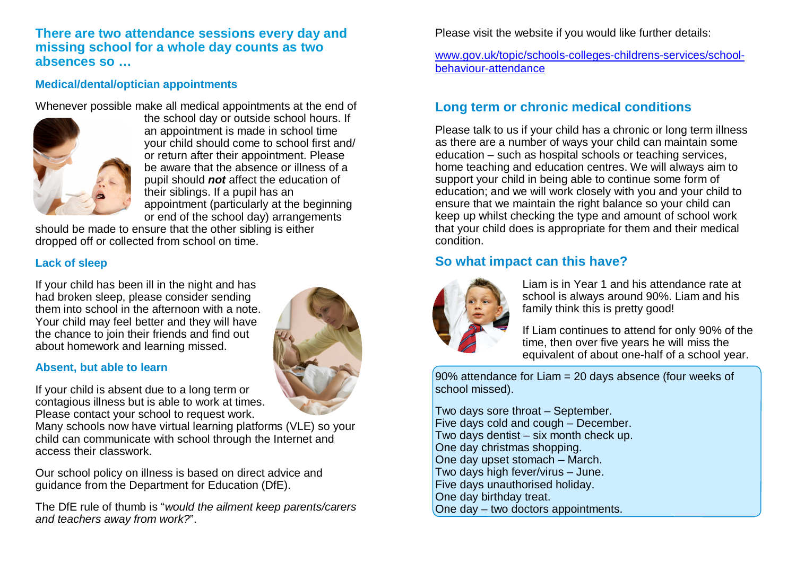**There are two attendance sessions every day and missing school for a whole day counts as two absences so …**

#### **Medical/dental/optician appointments**

Whenever possible make all medical appointments at the end of



the school day or outside school hours. If an appointment is made in school time your child should come to school first and/ or return after their appointment. Please be aware that the absence or illness of a pupil should *not* affect the education of their siblings. If a pupil has an appointment (particularly at the beginning or end of the school day) arrangements

should be made to ensure that the other sibling is either dropped off or collected from school on time.

#### **Lack of sleep**

If your child has been ill in the night and has had broken sleep, please consider sending them into school in the afternoon with a note. Your child may feel better and they will have the chance to join their friends and find out about homework and learning missed.

#### **Absent, but able to learn**

If your child is absent due to a long term or contagious illness but is able to work at times. Please contact your school to request work.

Many schools now have virtual learning platforms (VLE) so your child can communicate with school through the Internet and access their classwork.

Our school policy on illness is based on direct advice and guidance from the Department for Education (DfE).

The DfE rule of thumb is "*would the ailment keep parents/carers and teachers away from work?*".



Please visit the website if you would like further details:

#### [www.gov.uk/topic/schools-colleges-childrens-services/school](http://www.gov.uk/topic/schools-colleges-childrens-services/school-)behaviour-attendance

### **Long term or chronic medical conditions**

Please talk to us if your child has a chronic or long term illness as there are a number of ways your child can maintain some education – such as hospital schools or teaching services, home teaching and education centres. We will always aim to support your child in being able to continue some form of education; and we will work closely with you and your child to ensure that we maintain the right balance so your child can keep up whilst checking the type and amount of school work that your child does is appropriate for them and their medical condition.

### **So what impact can this have?**



Liam is in Year 1 and his attendance rate at school is always around 90%. Liam and his family think this is pretty good!

If Liam continues to attend for only 90% of the time, then over five years he will miss the equivalent of about one-half of a school year.

90% attendance for Liam = 20 days absence (four weeks of school missed).

Two days sore throat – September. Five days cold and cough – December. Two days dentist – six month check up. One day christmas shopping. One day upset stomach – March. Two days high fever/virus – June. Five days unauthorised holiday. One day birthday treat. One day – two doctors appointments.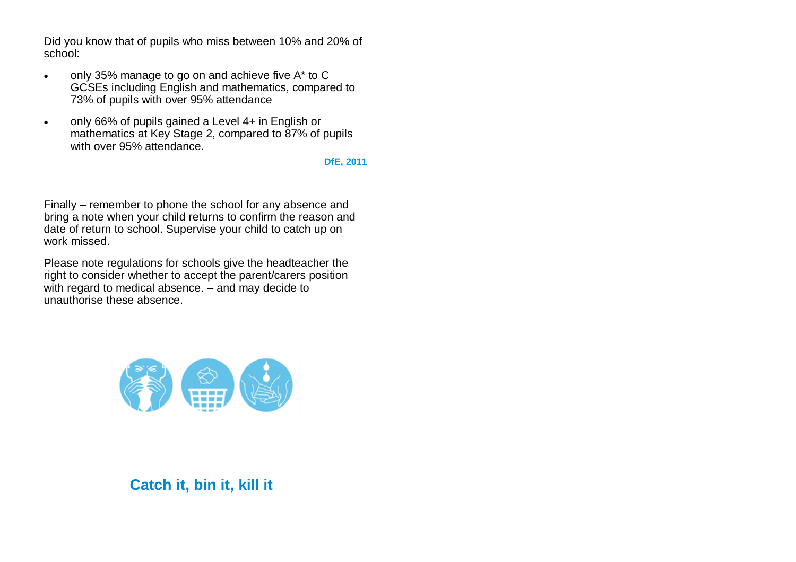Did you know that of pupils who miss between 10% and 20% of school:

- only 35% manage to go on and achieve five A\* to C GCSEs including English and mathematics, compared to 73% of pupils with over 95% attendance
- only 66% of pupils gained a Level 4+ in English or mathematics at Key Stage 2, compared to 87% of pupils with over 95% attendance.

#### **DfE, 2011**

Finally – remember to phone the school for any absence and bring a note when your child returns to confirm the reason and date of return to school. Supervise your child to catch up on work missed.

Please note regulations for schools give the headteacher the right to consider whether to accept the parent/carers position with regard to medical absence. – and may decide to unauthorise these absence.



## **Catch it, bin it, kill it**